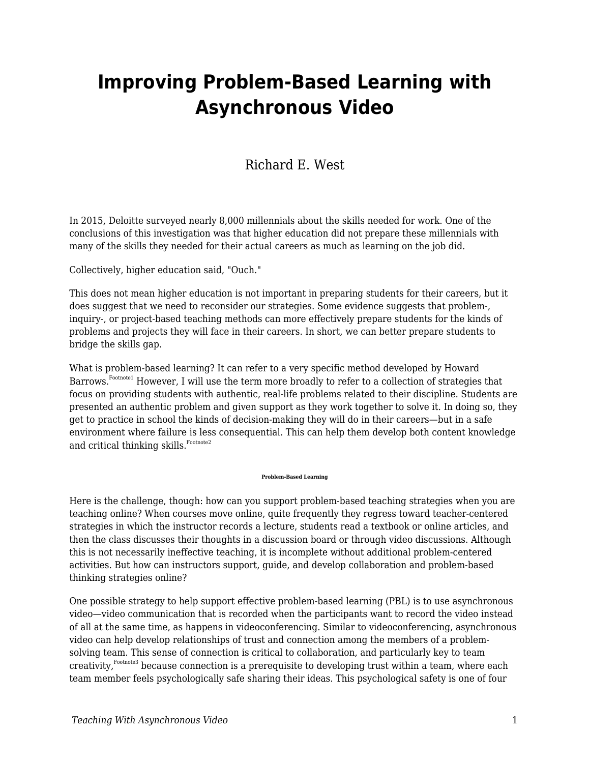# **Improving Problem-Based Learning with Asynchronous Video**

#### Richard E. West

In 2015, Deloitte surveyed nearly 8,000 millennials about the skills needed for work. One of the conclusions of this investigation was that higher education did not prepare these millennials with many of the skills they needed for their actual careers as much as learning on the job did.

Collectively, higher education said, "Ouch."

This does not mean higher education is not important in preparing students for their careers, but it does suggest that we need to reconsider our strategies. Some evidence suggests that problem-, inquiry-, or project-based teaching methods can more effectively prepare students for the kinds of problems and projects they will face in their careers. In short, we can better prepare students to bridge the skills gap.

What is problem-based learning? It can refer to a very specific method developed by Howard Barrows.  $^{\text{Foothothe1}}$  However, I will use the term more broadly to refer to a collection of strategies that focus on providing students with authentic, real-life problems related to their discipline. Students are presented an authentic problem and given support as they work together to solve it. In doing so, they get to practice in school the kinds of decision-making they will do in their careers—but in a safe environment where failure is less consequential. This can help them develop both content knowledge and critical thinking skills.<sup>Footnote2</sup>

#### **Problem-Based Learning**

Here is the challenge, though: how can you support problem-based teaching strategies when you are teaching online? When courses move online, quite frequently they regress toward teacher-centered strategies in which the instructor records a lecture, students read a textbook or online articles, and then the class discusses their thoughts in a discussion board or through video discussions. Although this is not necessarily ineffective teaching, it is incomplete without additional problem-centered activities. But how can instructors support, guide, and develop collaboration and problem-based thinking strategies online?

One possible strategy to help support effective problem-based learning (PBL) is to use asynchronous video—video communication that is recorded when the participants want to record the video instead of all at the same time, as happens in videoconferencing. Similar to videoconferencing, asynchronous video can help develop relationships of trust and connection among the members of a problemsolving team. This sense of connection is critical to collaboration, and particularly key to team creativity, $F^{\rm{contonote 3}}$  because connection is a prerequisite to developing trust within a team, where each team member feels psychologically safe sharing their ideas. This psychological safety is one of four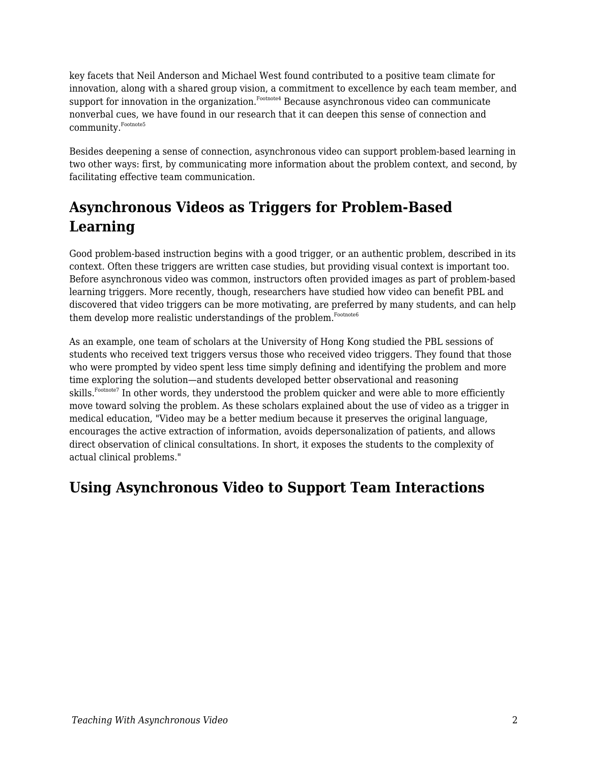key facets that Neil Anderson and Michael West found contributed to a positive team climate for innovation, along with a shared group vision, a commitment to excellence by each team member, and support for innovation in the organization. $^{\mathrm{Footho t}4}$  Because asynchronous video can communicate nonverbal cues, we have found in our research that it can deepen this sense of connection and community.Footnote5

Besides deepening a sense of connection, asynchronous video can support problem-based learning in two other ways: first, by communicating more information about the problem context, and second, by facilitating effective team communication.

## **Asynchronous Videos as Triggers for Problem-Based Learning**

Good problem-based instruction begins with a good trigger, or an authentic problem, described in its context. Often these triggers are written case studies, but providing visual context is important too. Before asynchronous video was common, instructors often provided images as part of problem-based learning triggers. More recently, though, researchers have studied how video can benefit PBL and discovered that video triggers can be more motivating, are preferred by many students, and can help them develop more realistic understandings of the problem.<sup>Footnote6</sup>

As an example, one team of scholars at the University of Hong Kong studied the PBL sessions of students who received text triggers versus those who received video triggers. They found that those who were prompted by video spent less time simply defining and identifying the problem and more time exploring the solution—and students developed better observational and reasoning skills.<sup>Footnote7</sup> In other words, they understood the problem quicker and were able to more efficiently move toward solving the problem. As these scholars explained about the use of video as a trigger in medical education, "Video may be a better medium because it preserves the original language, encourages the active extraction of information, avoids depersonalization of patients, and allows direct observation of clinical consultations. In short, it exposes the students to the complexity of actual clinical problems."

#### **Using Asynchronous Video to Support Team Interactions**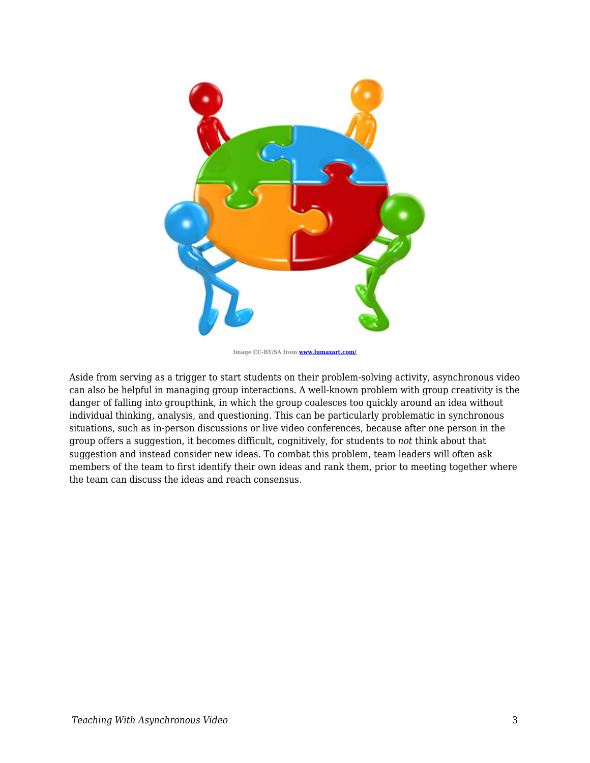

**Image CC-BY/SA from [www.lumaxart.com/](http://www.lumaxart.com/)**

Aside from serving as a trigger to start students on their problem-solving activity, asynchronous video can also be helpful in managing group interactions. A well-known problem with group creativity is the danger of falling into groupthink, in which the group coalesces too quickly around an idea without individual thinking, analysis, and questioning. This can be particularly problematic in synchronous situations, such as in-person discussions or live video conferences, because after one person in the group offers a suggestion, it becomes difficult, cognitively, for students to *not* think about that suggestion and instead consider new ideas. To combat this problem, team leaders will often ask members of the team to first identify their own ideas and rank them, prior to meeting together where the team can discuss the ideas and reach consensus.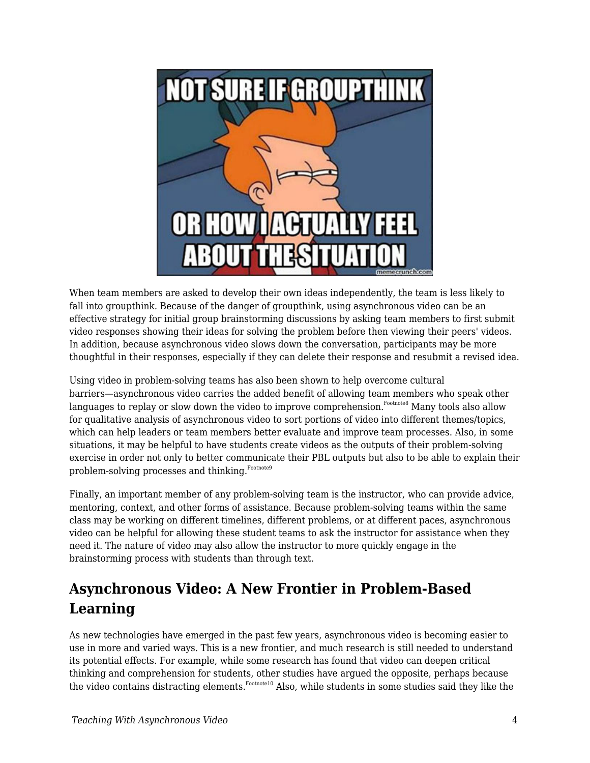

When team members are asked to develop their own ideas independently, the team is less likely to fall into groupthink. Because of the danger of groupthink, using asynchronous video can be an effective strategy for initial group brainstorming discussions by asking team members to first submit video responses showing their ideas for solving the problem before then viewing their peers' videos. In addition, because asynchronous video slows down the conversation, participants may be more thoughtful in their responses, especially if they can delete their response and resubmit a revised idea.

Using video in problem-solving teams has also been shown to help overcome cultural barriers—asynchronous video carries the added benefit of allowing team members who speak other languages to replay or slow down the video to improve comprehension. $^{\mathrm{Fochrote}8}$  Many tools also allow for qualitative analysis of asynchronous video to sort portions of video into different themes/topics, which can help leaders or team members better evaluate and improve team processes. Also, in some situations, it may be helpful to have students create videos as the outputs of their problem-solving exercise in order not only to better communicate their PBL outputs but also to be able to explain their problem-solving processes and thinking.<sup>Footnote9</sup>

Finally, an important member of any problem-solving team is the instructor, who can provide advice, mentoring, context, and other forms of assistance. Because problem-solving teams within the same class may be working on different timelines, different problems, or at different paces, asynchronous video can be helpful for allowing these student teams to ask the instructor for assistance when they need it. The nature of video may also allow the instructor to more quickly engage in the brainstorming process with students than through text.

### **Asynchronous Video: A New Frontier in Problem-Based Learning**

As new technologies have emerged in the past few years, asynchronous video is becoming easier to use in more and varied ways. This is a new frontier, and much research is still needed to understand its potential effects. For example, while some research has found that video can deepen critical thinking and comprehension for students, other studies have argued the opposite, perhaps because the video contains distracting elements.<sup>Footnote10</sup> Also, while students in some studies said they like the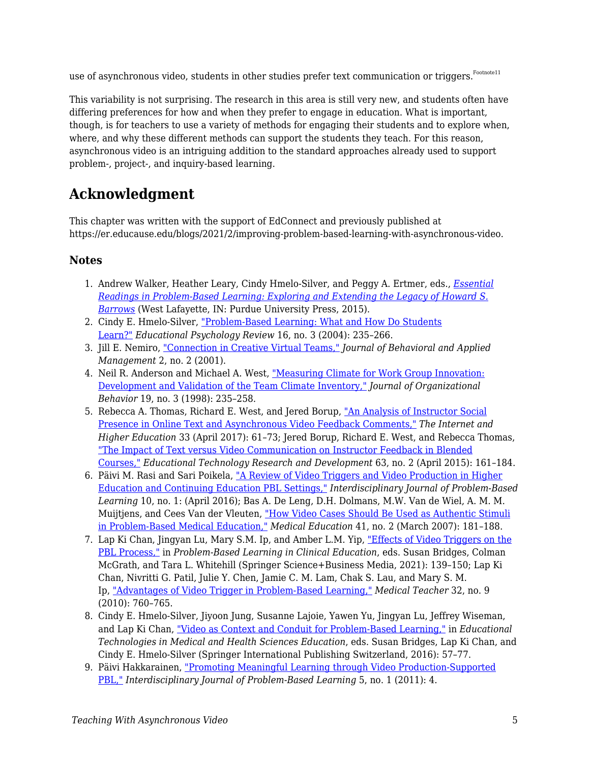use of asynchronous video, students in other studies prefer text communication or triggers. Footnote11

This variability is not surprising. The research in this area is still very new, and students often have differing preferences for how and when they prefer to engage in education. What is important, though, is for teachers to use a variety of methods for engaging their students and to explore when, where, and why these different methods can support the students they teach. For this reason, asynchronous video is an intriguing addition to the standard approaches already used to support problem-, project-, and inquiry-based learning.

#### **Acknowledgment**

This chapter was written with the support of EdConnect and previously published at https://er.educause.edu/blogs/2021/2/improving-problem-based-learning-with-asynchronous-video.

#### **Notes**

- 1. Andrew Walker, Heather Leary, Cindy Hmelo-Silver, and Peggy A. Ertmer, eds., *[Essential](http://www.thepress.purdue.edu/titles/format/9781612493688) [Readings in Problem-Based Learning: Exploring and Extending the Legacy of Howard S.](http://www.thepress.purdue.edu/titles/format/9781612493688) [Barrows](http://www.thepress.purdue.edu/titles/format/9781612493688)* (West Lafayette, IN: Purdue University Press, 2015).
- 2. Cindy E. Hmelo-Silver, ["Problem-Based Learning: What and How Do Students](https://link.springer.com/article/10.1023/B:EDPR.0000034022.16470.f3) [Learn?"](https://link.springer.com/article/10.1023/B:EDPR.0000034022.16470.f3) *Educational Psychology Review* 16, no. 3 (2004): 235–266.
- 3. Jill E. Nemiro, ["Connection in Creative Virtual Teams,"](https://jbam.scholasticahq.com/article/814) *Journal of Behavioral and Applied Management* 2, no. 2 (2001).
- 4. Neil R. Anderson and Michael A. West, ["Measuring Climate for Work Group Innovation:](https://onlinelibrary.wiley.com/doi/abs/10.1002/(SICI)1099-1379(199805)19:3%3C235::AID-JOB837%3E3.0.CO;2-C) [Development and Validation of the Team Climate Inventory,"](https://onlinelibrary.wiley.com/doi/abs/10.1002/(SICI)1099-1379(199805)19:3%3C235::AID-JOB837%3E3.0.CO;2-C) *Journal of Organizational Behavior* 19, no. 3 (1998): 235–258.
- 5. Rebecca A. Thomas, Richard E. West, and Jered Borup, ["An Analysis of Instructor Social](https://www.sciencedirect.com/science/article/abs/pii/S1096751617300301) [Presence in Online Text and Asynchronous Video Feedback Comments,"](https://www.sciencedirect.com/science/article/abs/pii/S1096751617300301) *The Internet and Higher Education* 33 (April 2017): 61–73; Jered Borup, Richard E. West, and Rebecca Thomas, ["The Impact of Text versus Video Communication on Instructor Feedback in Blended](https://eric.ed.gov/?id=EJ1054719) [Courses,"](https://eric.ed.gov/?id=EJ1054719) *Educational Technology Research and Development* 63, no. 2 (April 2015): 161–184.
- 6. Päivi M. Rasi and Sari Poikela, ["A Review of Video Triggers and Video Production in Higher](https://eric.ed.gov/?id=EJ1101382) [Education and Continuing Education PBL Settings,"](https://eric.ed.gov/?id=EJ1101382) *Interdisciplinary Journal of Problem-Based Learning* 10, no. 1: (April 2016); Bas A. De Leng, D.H. Dolmans, M.W. Van de Wiel, A. M. M. Muijtjens, and Cees Van der Vleuten, ["How Video Cases Should Be Used as Authentic Stimuli](https://www.researchgate.net/publication/6534638_How_video_cases_should_be_used_as_authentic_stimuli_in_problem-based_medical_education) [in Problem‐Based Medical Education,"](https://www.researchgate.net/publication/6534638_How_video_cases_should_be_used_as_authentic_stimuli_in_problem-based_medical_education) *Medical Education* 41, no. 2 (March 2007): 181–188.
- 7. Lap Ki Chan, Jingyan Lu, Mary S.M. Ip, and Amber L.M. Yip, ["Effects of Video Triggers on the](https://link.springer.com/chapter/10.1007/978-94-007-2515-7_9) [PBL Process,"](https://link.springer.com/chapter/10.1007/978-94-007-2515-7_9) in *Problem-Based Learning in Clinical Education*, eds. Susan Bridges, Colman McGrath, and Tara L. Whitehill (Springer Science+Business Media, 2021): 139–150; Lap Ki Chan, Nivritti G. Patil, Julie Y. Chen, Jamie C. M. Lam, Chak S. Lau, and Mary S. M. Ip, ["Advantages of Video Trigger in Problem-Based Learning,"](https://www.researchgate.net/publication/46008080_Advantages_of_video_trigger_in_problem-based_learning) *Medical Teacher* 32, no. 9 (2010): 760–765.
- 8. Cindy E. Hmelo-Silver, Jiyoon Jung, Susanne Lajoie, Yawen Yu, Jingyan Lu, Jeffrey Wiseman, and Lap Ki Chan, ["Video as Context and Conduit for Problem-Based Learning,"](https://link.springer.com/chapter/10.1007/978-3-319-08275-2_4) in *Educational Technologies in Medical and Health Sciences Education*, eds. Susan Bridges, Lap Ki Chan, and Cindy E. Hmelo-Silver (Springer International Publishing Switzerland, 2016): 57–77.
- 9. Päivi Hakkarainen, ["Promoting Meaningful Learning through Video Production-Supported](https://eric.ed.gov/?id=EJ1058716) [PBL,"](https://eric.ed.gov/?id=EJ1058716) *Interdisciplinary Journal of Problem-Based Learning* 5, no. 1 (2011): 4.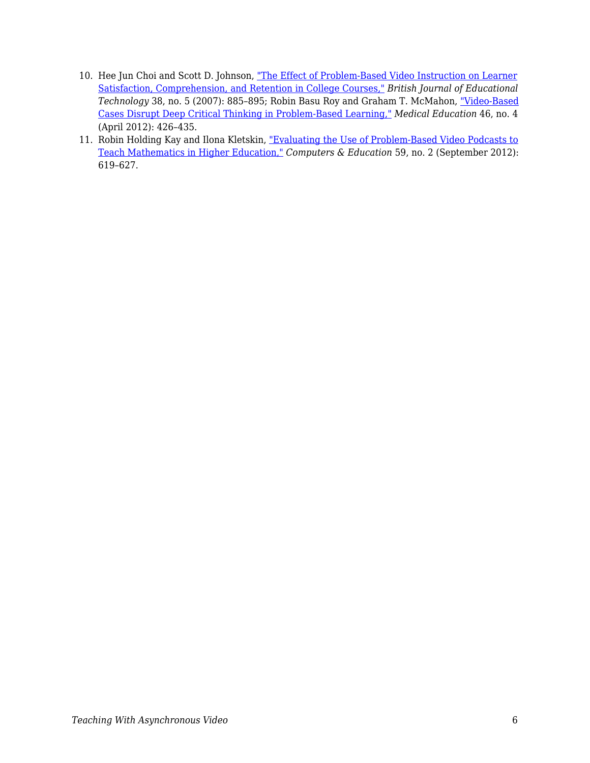- 10. Hee Jun Choi and Scott D. Johnson, ["The Effect of Problem-Based Video Instruction on Learner](https://eric.ed.gov/?id=EJ773079) [Satisfaction, Comprehension, and Retention in College Courses,"](https://eric.ed.gov/?id=EJ773079) *British Journal of Educational Technology* 38, no. 5 (2007): 885–895; Robin Basu Roy and Graham T. McMahon, ["Video‐Based](https://www.researchgate.net/publication/221721864_Video-based_cases_disrupt_deep_critical_thinking_in_problem-based_learning) [Cases Disrupt Deep Critical Thinking in Problem‐Based Learning,"](https://www.researchgate.net/publication/221721864_Video-based_cases_disrupt_deep_critical_thinking_in_problem-based_learning) *Medical Education* 46, no. 4 (April 2012): 426–435.
- 11. Robin Holding Kay and Ilona Kletskin, ["Evaluating the Use of Problem-Based Video Podcasts to](https://www.researchgate.net/publication/235676133_Evaluating_the_Use_of_Problem-Based_Video_Podcasts_to_Teach_Mathematics_in_Higher_Education) [Teach Mathematics in Higher Education,"](https://www.researchgate.net/publication/235676133_Evaluating_the_Use_of_Problem-Based_Video_Podcasts_to_Teach_Mathematics_in_Higher_Education) *Computers & Education* 59, no. 2 (September 2012): 619–627.